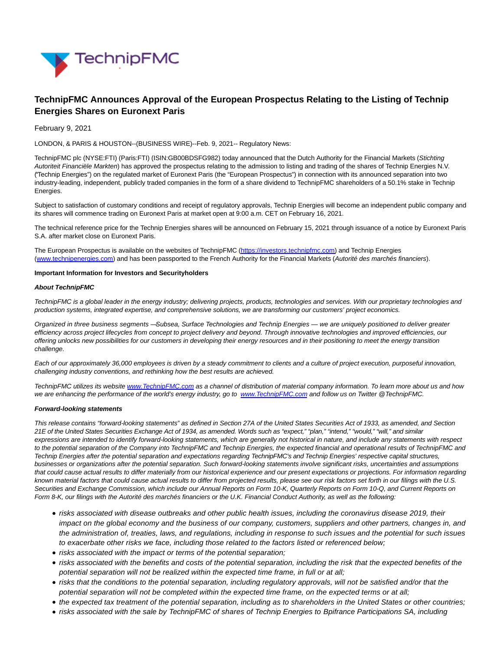

# **TechnipFMC Announces Approval of the European Prospectus Relating to the Listing of Technip Energies Shares on Euronext Paris**

## February 9, 2021

LONDON, & PARIS & HOUSTON--(BUSINESS WIRE)--Feb. 9, 2021-- Regulatory News:

TechnipFMC plc (NYSE:FTI) (Paris:FTI) (ISIN:GB00BDSFG982) today announced that the Dutch Authority for the Financial Markets (Stichting Autoriteit Financiële Markten) has approved the prospectus relating to the admission to listing and trading of the shares of Technip Energies N.V. ("Technip Energies") on the regulated market of Euronext Paris (the "European Prospectus") in connection with its announced separation into two industry-leading, independent, publicly traded companies in the form of a share dividend to TechnipFMC shareholders of a 50.1% stake in Technip Energies.

Subject to satisfaction of customary conditions and receipt of regulatory approvals, Technip Energies will become an independent public company and its shares will commence trading on Euronext Paris at market open at 9:00 a.m. CET on February 16, 2021.

The technical reference price for the Technip Energies shares will be announced on February 15, 2021 through issuance of a notice by Euronext Paris S.A. after market close on Euronext Paris.

The European Prospectus is available on the websites of TechnipFMC [\(https://investors.technipfmc.com\)](https://cts.businesswire.com/ct/CT?id=smartlink&url=https%3A%2F%2Finvestors.technipfmc.com&esheet=52376118&newsitemid=20210209005523&lan=en-US&anchor=https%3A%2F%2Finvestors.technipfmc.com&index=1&md5=4ce10dfd557bbc5f78080dcd71a2dc50) and Technip Energies [\(www.technipenergies.com\)](https://cts.businesswire.com/ct/CT?id=smartlink&url=http%3A%2F%2Fwww.technipenergies.com&esheet=52376118&newsitemid=20210209005523&lan=en-US&anchor=www.technipenergies.com&index=2&md5=a302ed2776a78a1d4d3845c30a46941f) and has been passported to the French Authority for the Financial Markets (Autorité des marchés financiers).

#### **Important Information for Investors and Securityholders**

#### **About TechnipFMC**

TechnipFMC is a global leader in the energy industry; delivering projects, products, technologies and services. With our proprietary technologies and production systems, integrated expertise, and comprehensive solutions, we are transforming our customers' project economics.

Organized in three business segments - Subsea, Surface Technologies and Technip Energies - we are uniquely positioned to deliver greater efficiency across project lifecycles from concept to project delivery and beyond. Through innovative technologies and improved efficiencies, our offering unlocks new possibilities for our customers in developing their energy resources and in their positioning to meet the energy transition challenge.

Each of our approximately 36,000 employees is driven by a steady commitment to clients and a culture of project execution, purposeful innovation, challenging industry conventions, and rethinking how the best results are achieved.

TechnipFMC utilizes its website [www.TechnipFMC.com a](https://cts.businesswire.com/ct/CT?id=smartlink&url=http%3A%2F%2Fwww.TechnipFMC.com&esheet=52376118&newsitemid=20210209005523&lan=en-US&anchor=www.TechnipFMC.com&index=3&md5=f50bc053a6a320c0c662ab8f3ce3d38e)s a channel of distribution of material company information. To learn more about us and how we are enhancing the performance of the world's energy industry, go to [www.TechnipFMC.com a](https://cts.businesswire.com/ct/CT?id=smartlink&url=http%3A%2F%2Fwww.TechnipFMC.com&esheet=52376118&newsitemid=20210209005523&lan=en-US&anchor=www.TechnipFMC.com&index=4&md5=56c7b151966bb4357087038515fb454b)nd follow us on Twitter @TechnipFMC.

#### **Forward-looking statements**

This release contains "forward-looking statements" as defined in Section 27A of the United States Securities Act of 1933, as amended, and Section 21E of the United States Securities Exchange Act of 1934, as amended. Words such as "expect," "plan," "intend," "would," "will," and similar expressions are intended to identify forward-looking statements, which are generally not historical in nature, and include any statements with respect to the potential separation of the Company into TechnipFMC and Technip Energies, the expected financial and operational results of TechnipFMC and Technip Energies after the potential separation and expectations regarding TechnipFMC's and Technip Energies' respective capital structures, businesses or organizations after the potential separation. Such forward-looking statements involve significant risks, uncertainties and assumptions that could cause actual results to differ materially from our historical experience and our present expectations or projections. For information regarding known material factors that could cause actual results to differ from projected results, please see our risk factors set forth in our filings with the U.S. Securities and Exchange Commission, which include our Annual Reports on Form 10-K, Quarterly Reports on Form 10-Q, and Current Reports on Form 8-K, our filings with the Autorité des marchés financiers or the U.K. Financial Conduct Authority, as well as the following:

- risks associated with disease outbreaks and other public health issues, including the coronavirus disease 2019, their impact on the global economy and the business of our company, customers, suppliers and other partners, changes in, and the administration of, treaties, laws, and regulations, including in response to such issues and the potential for such issues to exacerbate other risks we face, including those related to the factors listed or referenced below;
- risks associated with the impact or terms of the potential separation;
- risks associated with the benefits and costs of the potential separation, including the risk that the expected benefits of the potential separation will not be realized within the expected time frame, in full or at all;
- risks that the conditions to the potential separation, including regulatory approvals, will not be satisfied and/or that the potential separation will not be completed within the expected time frame, on the expected terms or at all;
- the expected tax treatment of the potential separation, including as to shareholders in the United States or other countries;
- risks associated with the sale by TechnipFMC of shares of Technip Energies to Bpifrance Participations SA, including